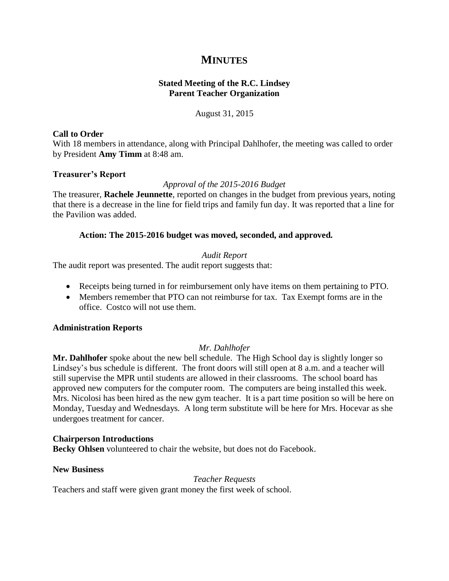# **MINUTES**

# **Stated Meeting of the R.C. Lindsey Parent Teacher Organization**

# August 31, 2015

## **Call to Order**

With 18 members in attendance, along with Principal Dahlhofer, the meeting was called to order by President **Amy Timm** at 8:48 am.

# **Treasurer's Report**

# *Approval of the 2015-2016 Budget*

The treasurer, **Rachele Jeunnette**, reported on changes in the budget from previous years, noting that there is a decrease in the line for field trips and family fun day. It was reported that a line for the Pavilion was added.

# **Action: The 2015-2016 budget was moved, seconded, and approved.**

# *Audit Report*

The audit report was presented. The audit report suggests that:

- Receipts being turned in for reimbursement only have items on them pertaining to PTO.
- Members remember that PTO can not reimburse for tax. Tax Exempt forms are in the office. Costco will not use them.

## **Administration Reports**

## *Mr. Dahlhofer*

**Mr. Dahlhofer** spoke about the new bell schedule. The High School day is slightly longer so Lindsey's bus schedule is different. The front doors will still open at 8 a.m. and a teacher will still supervise the MPR until students are allowed in their classrooms. The school board has approved new computers for the computer room. The computers are being installed this week. Mrs. Nicolosi has been hired as the new gym teacher. It is a part time position so will be here on Monday, Tuesday and Wednesdays. A long term substitute will be here for Mrs. Hocevar as she undergoes treatment for cancer.

## **Chairperson Introductions**

**Becky Ohlsen** volunteered to chair the website, but does not do Facebook.

## **New Business**

*Teacher Requests*

Teachers and staff were given grant money the first week of school.